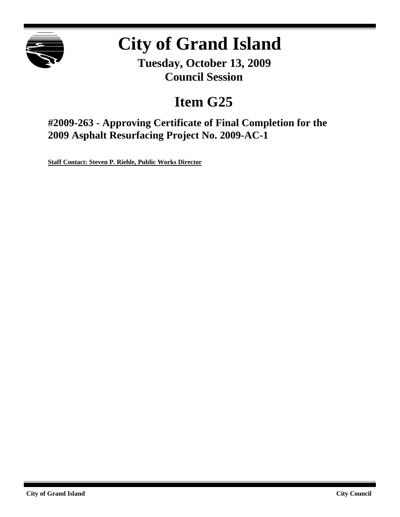

# **City of Grand Island**

**Tuesday, October 13, 2009 Council Session**

## **Item G25**

**#2009-263 - Approving Certificate of Final Completion for the 2009 Asphalt Resurfacing Project No. 2009-AC-1**

**Staff Contact: Steven P. Riehle, Public Works Director**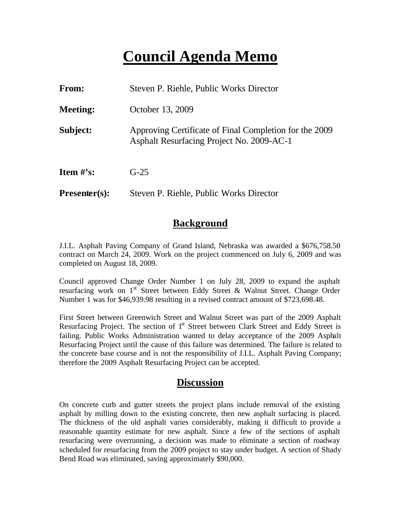## **Council Agenda Memo**

| <b>From:</b>                   | Steven P. Riehle, Public Works Director                                                             |  |  |
|--------------------------------|-----------------------------------------------------------------------------------------------------|--|--|
| <b>Meeting:</b>                | October 13, 2009                                                                                    |  |  |
| Subject:                       | Approving Certificate of Final Completion for the 2009<br>Asphalt Resurfacing Project No. 2009-AC-1 |  |  |
| <b>Item <math>\#</math>'s:</b> | $G-25$                                                                                              |  |  |
| $Presenter(s):$                | Steven P. Riehle, Public Works Director                                                             |  |  |

### **Background**

J.I.L. Asphalt Paving Company of Grand Island, Nebraska was awarded a \$676,758.50 contract on March 24, 2009. Work on the project commenced on July 6, 2009 and was completed on August 18, 2009.

Council approved Change Order Number 1 on July 28, 2009 to expand the asphalt resurfacing work on 1<sup>st</sup> Street between Eddy Street & Walnut Street. Change Order Number 1 was for \$46,939.98 resulting in a revised contract amount of \$723,698.48.

First Street between Greenwich Street and Walnut Street was part of the 2009 Asphalt Resurfacing Project. The section of 1<sup>st</sup> Street between Clark Street and Eddy Street is failing. Public Works Administration wanted to delay acceptance of the 2009 Asphalt Resurfacing Project until the cause of this failure was determined. The failure is related to the concrete base course and is not the responsibility of J.I.L. Asphalt Paving Company; therefore the 2009 Asphalt Resurfacing Project can be accepted.

#### **Discussion**

On concrete curb and gutter streets the project plans include removal of the existing asphalt by milling down to the existing concrete, then new asphalt surfacing is placed. The thickness of the old asphalt varies considerably, making it difficult to provide a reasonable quantity estimate for new asphalt. Since a few of the sections of asphalt resurfacing were overrunning, a decision was made to eliminate a section of roadway scheduled for resurfacing from the 2009 project to stay under budget. A section of Shady Bend Road was eliminated, saving approximately \$90,000.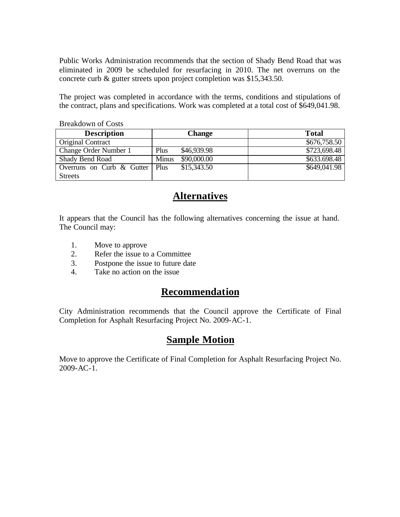Public Works Administration recommends that the section of Shady Bend Road that was eliminated in 2009 be scheduled for resurfacing in 2010. The net overruns on the concrete curb & gutter streets upon project completion was \$15,343.50.

The project was completed in accordance with the terms, conditions and stipulations of the contract, plans and specifications. Work was completed at a total cost of \$649,041.98.

| <b>Description</b>                  | <b>Change</b>               | <b>Total</b> |  |  |  |  |
|-------------------------------------|-----------------------------|--------------|--|--|--|--|
| <b>Original Contract</b>            |                             | \$676,758.50 |  |  |  |  |
| Change Order Number 1               | \$46,939.98<br>Plus         | \$723,698.48 |  |  |  |  |
| Shady Bend Road                     | \$90,000.00<br><b>Minus</b> | \$633.698.48 |  |  |  |  |
| Overruns on Curb $\&$ Gutter   Plus | \$15,343.50                 | \$649,041.98 |  |  |  |  |
| <b>Streets</b>                      |                             |              |  |  |  |  |

#### Breakdown of Costs

### **Alternatives**

It appears that the Council has the following alternatives concerning the issue at hand. The Council may:

- 1. Move to approve
- 2. Refer the issue to a Committee
- 3. Postpone the issue to future date
- 4. Take no action on the issue

## **Recommendation**

City Administration recommends that the Council approve the Certificate of Final Completion for Asphalt Resurfacing Project No. 2009-AC-1.

## **Sample Motion**

Move to approve the Certificate of Final Completion for Asphalt Resurfacing Project No. 2009-AC-1.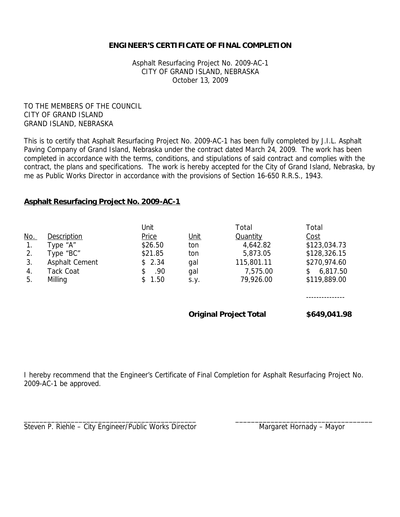#### **ENGINEER'S CERTIFICATE OF FINAL COMPLETION**

Asphalt Resurfacing Project No. 2009-AC-1 CITY OF GRAND ISLAND, NEBRASKA October 13, 2009

TO THE MEMBERS OF THE COUNCIL CITY OF GRAND ISLAND GRAND ISLAND, NEBRASKA

This is to certify that Asphalt Resurfacing Project No. 2009-AC-1 has been fully completed by J.I.L. Asphalt Paving Company of Grand Island, Nebraska under the contract dated March 24, 2009. The work has been completed in accordance with the terms, conditions, and stipulations of said contract and complies with the contract, the plans and specifications. The work is hereby accepted for the City of Grand Island, Nebraska, by me as Public Works Director in accordance with the provisions of Section 16-650 R.R.S., 1943.

#### **Asphalt Resurfacing Project No. 2009-AC-1**

|            |                    | Unit       |                               | Total           | Total          |
|------------|--------------------|------------|-------------------------------|-----------------|----------------|
| <u>No.</u> | <b>Description</b> | Price      | Unit                          | <b>Quantity</b> | <u>Cost</u>    |
| 1.         | Type "A"           | \$26.50    | ton                           | 4,642.82        | \$123,034.73   |
| 2.         | Type "BC"          | \$21.85    | ton                           | 5,873.05        | \$128,326.15   |
| 3.         | Asphalt Cement     | \$2.34     | gal                           | 115,801.11      | \$270,974.60   |
| 4.         | Tack Coat          | .90<br>\$  | gal                           | 7,575.00        | \$<br>6,817.50 |
| 5.         | Milling            | 1.50<br>\$ | S.Y.                          | 79,926.00       | \$119,889.00   |
|            |                    |            |                               |                 |                |
|            |                    |            | <b>Original Project Total</b> |                 | \$649,041.98   |

I hereby recommend that the Engineer's Certificate of Final Completion for Asphalt Resurfacing Project No. 2009-AC-1 be approved.

\_\_\_\_\_\_\_\_\_\_\_\_\_\_\_\_\_\_\_\_\_\_\_\_\_\_\_\_\_\_\_\_\_\_\_\_\_\_\_\_\_\_\_\_ \_\_\_\_\_\_\_\_\_\_\_\_\_\_\_\_\_\_\_\_\_\_\_\_\_\_\_\_\_\_\_\_\_\_\_

Steven P. Riehle – City Engineer/Public Works Director Mangaret Hornady – Mayor